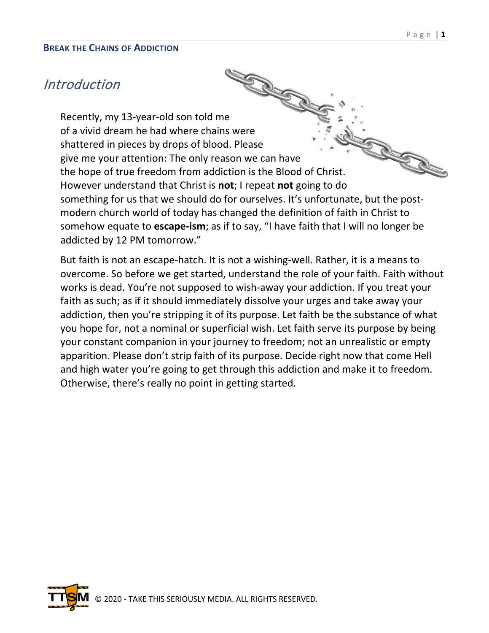# **Introduction**

Production<br>Recently, my 13-year-old son told me of a vivid dream he had where chains were R. S. Road shattered in pieces by drops of blood. Please give me your attention: The only reason we can have the hope of true freedom from addiction is the Blood of Christ. However understand that Christ is **not**; I repeat **not** going to do something for us that we should do for ourselves. It's unfortunate, but the postmodern church world of today has changed the definition of faith in Christ to somehow equate to **escape-ism**; as if to say, "I have faith that I will no longer be addicted by 12 PM tomorrow."

But faith is not an escape-hatch. It is not a wishing-well. Rather, it is a means to overcome. So before we get started, understand the role of your faith. Faith without works is dead. You're not supposed to wish-away your addiction. If you treat your faith as such; as if it should immediately dissolve your urges and take away your addiction, then you're stripping it of its purpose. Let faith be the substance of what you hope for, not a nominal or superficial wish. Let faith serve its purpose by being your constant companion in your journey to freedom; not an unrealistic or empty apparition. Please don't strip faith of its purpose. Decide right now that come Hell and high water you're going to get through this addiction and make it to freedom. Otherwise, there's really no point in getting started.

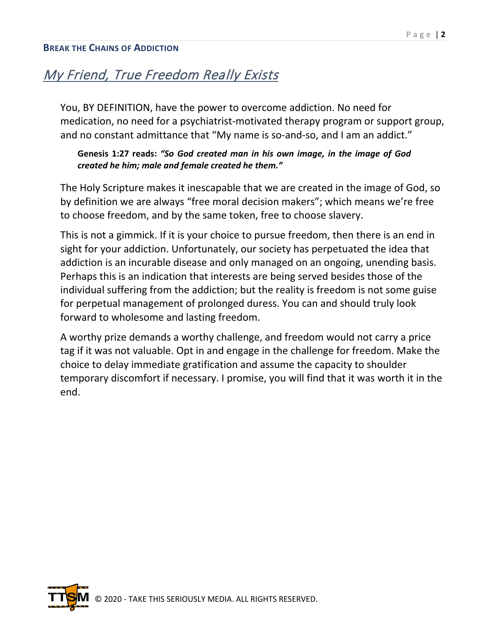# My Friend, True Freedom Really Exists

You, BY DEFINITION, have the power to overcome addiction. No need for medication, no need for a psychiatrist-motivated therapy program or support group, and no constant admittance that "My name is so-and-so, and I am an addict."

### **Genesis 1:27 reads:** *"So God created man in his own image, in the image of God created he him; male and female created he them."*

The Holy Scripture makes it inescapable that we are created in the image of God, so by definition we are always "free moral decision makers"; which means we're free to choose freedom, and by the same token, free to choose slavery.

This is not a gimmick. If it is your choice to pursue freedom, then there is an end in sight for your addiction. Unfortunately, our society has perpetuated the idea that addiction is an incurable disease and only managed on an ongoing, unending basis. Perhaps this is an indication that interests are being served besides those of the individual suffering from the addiction; but the reality is freedom is not some guise for perpetual management of prolonged duress. You can and should truly look forward to wholesome and lasting freedom.

A worthy prize demands a worthy challenge, and freedom would not carry a price tag if it was not valuable. Opt in and engage in the challenge for freedom. Make the choice to delay immediate gratification and assume the capacity to shoulder temporary discomfort if necessary. I promise, you will find that it was worth it in the end.

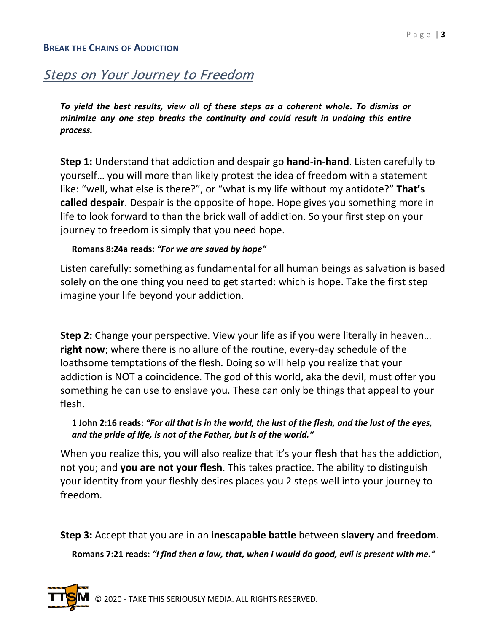# Steps on Your Journey to Freedom

*To yield the best results, view all of these steps as a coherent whole. To dismiss or minimize any one step breaks the continuity and could result in undoing this entire process.*

**Step 1:** Understand that addiction and despair go **hand-in-hand**. Listen carefully to yourself… you will more than likely protest the idea of freedom with a statement like: "well, what else is there?", or "what is my life without my antidote?" **That's called despair**. Despair is the opposite of hope. Hope gives you something more in life to look forward to than the brick wall of addiction. So your first step on your journey to freedom is simply that you need hope.

#### **Romans 8:24a reads:** *"For we are saved by hope"*

Listen carefully: something as fundamental for all human beings as salvation is based solely on the one thing you need to get started: which is hope. Take the first step imagine your life beyond your addiction.

**Step 2:** Change your perspective. View your life as if you were literally in heaven… **right now**; where there is no allure of the routine, every-day schedule of the loathsome temptations of the flesh. Doing so will help you realize that your addiction is NOT a coincidence. The god of this world, aka the devil, must offer you something he can use to enslave you. These can only be things that appeal to your flesh.

### **1 John 2:16 reads:** *"For all that is in the world, the lust of the flesh, and the lust of the eyes, and the pride of life, is not of the Father, but is of the world."*

When you realize this, you will also realize that it's your **flesh** that has the addiction, not you; and **you are not your flesh**. This takes practice. The ability to distinguish your identity from your fleshly desires places you 2 steps well into your journey to freedom.

**Step 3:** Accept that you are in an **inescapable battle** between **slavery** and **freedom**.

**Romans 7:21 reads:** *"I find then a law, that, when I would do good, evil is present with me."*

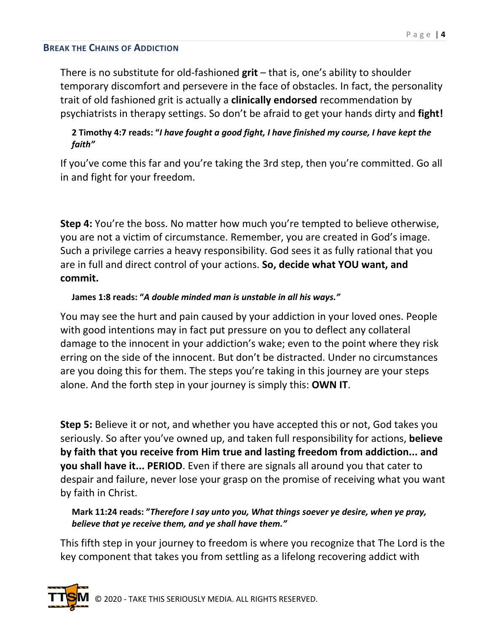There is no substitute for old-fashioned **grit** – that is, one's ability to shoulder temporary discomfort and persevere in the face of obstacles. In fact, the personality trait of old fashioned grit is actually a **clinically endorsed** recommendation by psychiatrists in therapy settings. So don't be afraid to get your hands dirty and **fight!**

# **2 Timothy 4:7 reads: "***I have fought a good fight, I have finished my course, I have kept the faith"*

If you've come this far and you're taking the 3rd step, then you're committed. Go all in and fight for your freedom.

**Step 4:** You're the boss. No matter how much you're tempted to believe otherwise, you are not a victim of circumstance. Remember, you are created in God's image. Such a privilege carries a heavy responsibility. God sees it as fully rational that you are in full and direct control of your actions. **So, decide what YOU want, and commit.**

# **James 1:8 reads: "***A double minded man is unstable in all his ways."*

You may see the hurt and pain caused by your addiction in your loved ones. People with good intentions may in fact put pressure on you to deflect any collateral damage to the innocent in your addiction's wake; even to the point where they risk erring on the side of the innocent. But don't be distracted. Under no circumstances are you doing this for them. The steps you're taking in this journey are your steps alone. And the forth step in your journey is simply this: **OWN IT**.

**Step 5:** Believe it or not, and whether you have accepted this or not, God takes you seriously. So after you've owned up, and taken full responsibility for actions, **believe by faith that you receive from Him true and lasting freedom from addiction... and you shall have it... PERIOD**. Even if there are signals all around you that cater to despair and failure, never lose your grasp on the promise of receiving what you want by faith in Christ.

## **Mark 11:24 reads: "***Therefore I say unto you, What things soever ye desire, when ye pray, believe that ye receive them, and ye shall have them."*

This fifth step in your journey to freedom is where you recognize that The Lord is the key component that takes you from settling as a lifelong recovering addict with

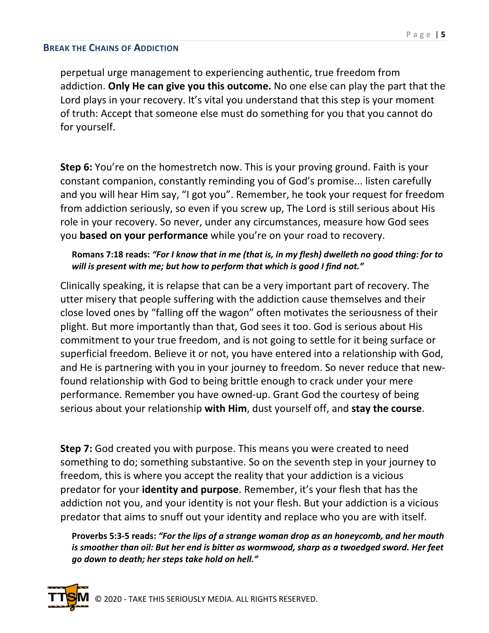perpetual urge management to experiencing authentic, true freedom from addiction. **Only He can give you this outcome.** No one else can play the part that the Lord plays in your recovery. It's vital you understand that this step is your moment of truth: Accept that someone else must do something for you that you cannot do for yourself.

**Step 6:** You're on the homestretch now. This is your proving ground. Faith is your constant companion, constantly reminding you of God's promise... listen carefully and you will hear Him say, "I got you". Remember, he took your request for freedom from addiction seriously, so even if you screw up, The Lord is still serious about His role in your recovery. So never, under any circumstances, measure how God sees you **based on your performance** while you're on your road to recovery.

## **Romans 7:18 reads:** *"For I know that in me (that is, in my flesh) dwelleth no good thing: for to will is present with me; but how to perform that which is good I find not."*

Clinically speaking, it is relapse that can be a very important part of recovery. The utter misery that people suffering with the addiction cause themselves and their close loved ones by "falling off the wagon" often motivates the seriousness of their plight. But more importantly than that, God sees it too. God is serious about His commitment to your true freedom, and is not going to settle for it being surface or superficial freedom. Believe it or not, you have entered into a relationship with God, and He is partnering with you in your journey to freedom. So never reduce that newfound relationship with God to being brittle enough to crack under your mere performance. Remember you have owned-up. Grant God the courtesy of being serious about your relationship **with Him**, dust yourself off, and **stay the course**.

**Step 7:** God created you with purpose. This means you were created to need something to do; something substantive. So on the seventh step in your journey to freedom, this is where you accept the reality that your addiction is a vicious predator for your **identity and purpose**. Remember, it's your flesh that has the addiction not you, and your identity is not your flesh. But your addiction is a vicious predator that aims to snuff out your identity and replace who you are with itself.

**Proverbs 5:3-5 reads:** *"For the lips of a strange woman drop as an honeycomb, and her mouth is smoother than oil: But her end is bitter as wormwood, sharp as a twoedged sword. Her feet go down to death; her steps take hold on hell."*